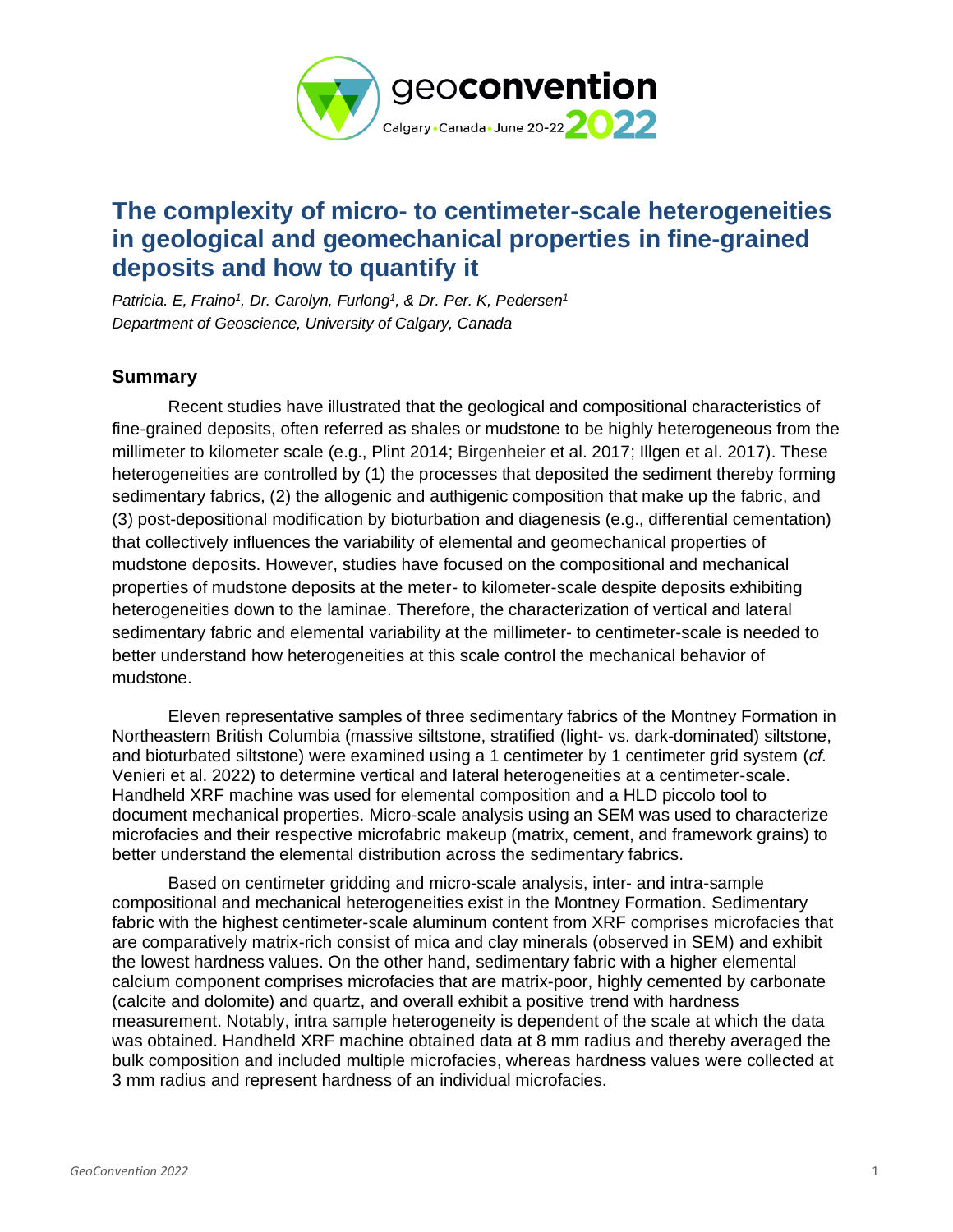

## **The complexity of micro- to centimeter-scale heterogeneities in geological and geomechanical properties in fine-grained deposits and how to quantify it**

*Patricia. E, Fraino<sup>1</sup> , Dr. Carolyn, Furlong<sup>1</sup> , & Dr. Per. K, Pedersen<sup>1</sup> Department of Geoscience, University of Calgary, Canada*

## **Summary**

Recent studies have illustrated that the geological and compositional characteristics of fine-grained deposits, often referred as shales or mudstone to be highly heterogeneous from the millimeter to kilometer scale (e.g., Plint 2014; Birgenheier et al. 2017; Illgen et al. 2017). These heterogeneities are controlled by (1) the processes that deposited the sediment thereby forming sedimentary fabrics, (2) the allogenic and authigenic composition that make up the fabric, and (3) post-depositional modification by bioturbation and diagenesis (e.g., differential cementation) that collectively influences the variability of elemental and geomechanical properties of mudstone deposits. However, studies have focused on the compositional and mechanical properties of mudstone deposits at the meter- to kilometer-scale despite deposits exhibiting heterogeneities down to the laminae. Therefore, the characterization of vertical and lateral sedimentary fabric and elemental variability at the millimeter- to centimeter-scale is needed to better understand how heterogeneities at this scale control the mechanical behavior of mudstone.

Eleven representative samples of three sedimentary fabrics of the Montney Formation in Northeastern British Columbia (massive siltstone, stratified (light- vs. dark-dominated) siltstone, and bioturbated siltstone) were examined using a 1 centimeter by 1 centimeter grid system (*cf.* Venieri et al. 2022) to determine vertical and lateral heterogeneities at a centimeter-scale. Handheld XRF machine was used for elemental composition and a HLD piccolo tool to document mechanical properties. Micro-scale analysis using an SEM was used to characterize microfacies and their respective microfabric makeup (matrix, cement, and framework grains) to better understand the elemental distribution across the sedimentary fabrics.

Based on centimeter gridding and micro-scale analysis, inter- and intra-sample compositional and mechanical heterogeneities exist in the Montney Formation. Sedimentary fabric with the highest centimeter-scale aluminum content from XRF comprises microfacies that are comparatively matrix-rich consist of mica and clay minerals (observed in SEM) and exhibit the lowest hardness values. On the other hand, sedimentary fabric with a higher elemental calcium component comprises microfacies that are matrix-poor, highly cemented by carbonate (calcite and dolomite) and quartz, and overall exhibit a positive trend with hardness measurement. Notably, intra sample heterogeneity is dependent of the scale at which the data was obtained. Handheld XRF machine obtained data at 8 mm radius and thereby averaged the bulk composition and included multiple microfacies, whereas hardness values were collected at 3 mm radius and represent hardness of an individual microfacies.